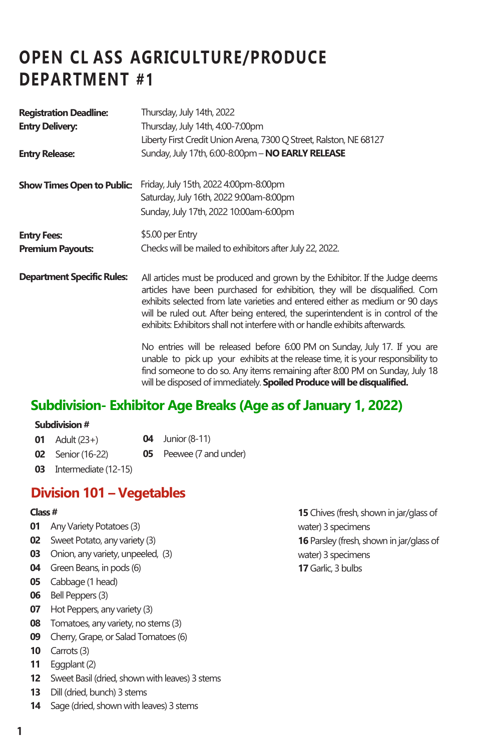# **OPEN CL ASS AGRICULTURE/PRODUCE DEPARTMENT #1**

| <b>Registration Deadline:</b>     | Thursday, July 14th, 2022                                                                                                                                                                                                                                                                                                                                                                                        |  |
|-----------------------------------|------------------------------------------------------------------------------------------------------------------------------------------------------------------------------------------------------------------------------------------------------------------------------------------------------------------------------------------------------------------------------------------------------------------|--|
| <b>Entry Delivery:</b>            | Thursday, July 14th, 4:00-7:00pm                                                                                                                                                                                                                                                                                                                                                                                 |  |
|                                   | Liberty First Credit Union Arena, 7300 Q Street, Ralston, NE 68127                                                                                                                                                                                                                                                                                                                                               |  |
| <b>Entry Release:</b>             | Sunday, July 17th, 6:00-8:00pm - NO EARLY RELEASE                                                                                                                                                                                                                                                                                                                                                                |  |
| <b>Show Times Open to Public:</b> | Friday, July 15th, 2022 4:00pm-8:00pm                                                                                                                                                                                                                                                                                                                                                                            |  |
|                                   | Saturday, July 16th, 2022 9:00am-8:00pm                                                                                                                                                                                                                                                                                                                                                                          |  |
|                                   | Sunday, July 17th, 2022 10:00am-6:00pm                                                                                                                                                                                                                                                                                                                                                                           |  |
| <b>Entry Fees:</b>                | \$5.00 per Entry                                                                                                                                                                                                                                                                                                                                                                                                 |  |
| <b>Premium Payouts:</b>           | Checks will be mailed to exhibitors after July 22, 2022.                                                                                                                                                                                                                                                                                                                                                         |  |
| <b>Department Specific Rules:</b> | All articles must be produced and grown by the Exhibitor. If the Judge deems<br>articles have been purchased for exhibition, they will be disqualified. Corn<br>exhibits selected from late varieties and entered either as medium or 90 days<br>will be ruled out. After being entered, the superintendent is in control of the<br>exhibits: Exhibitors shall not interfere with or handle exhibits afterwards. |  |
|                                   | No entries will be released before 6:00 PM on Sunday, July 17. If you are<br>المقاطرات والمستحدث والمستحدث والمتناق والممتع وممتمل والمستمطر والمارات والمستحدث والمتمار والمستحق والمامون                                                                                                                                                                                                                       |  |

No entries will be released before 6:00 PM on Sunday, July 17. If you are unable to pick up your exhibits at the release time, it is your responsibility to find someone to do so. Any items remaining after 8:00 PM on Sunday, July 18 will be disposed of immediately. **Spoiled Produce will be disqualified.** 

# **Subdivision- Exhibitor Age Breaks (Age as of January 1, 2022)**

#### **Subdivision #**

| 01 Adult $(23+)$               | <b>04</b> Junior (8-11)        |
|--------------------------------|--------------------------------|
| <b>02</b> Senior (16-22)       | <b>05</b> Peewee (7 and under) |
| <b>03</b> Intermediate (12-15) |                                |

**Division 101 – Vegetables**

#### **Class #**

- **01** Any Variety Potatoes (3)
- **02** Sweet Potato, any variety (3)
- **03** Onion, any variety, unpeeled, (3)
- **04** Green Beans, in pods (6)
- **05** Cabbage (1 head)
- **06** Bell Peppers (3)
- **07** Hot Peppers, any variety (3)
- **08** Tomatoes, any variety, no stems (3)
- **09** Cherry, Grape, or Salad Tomatoes (6)
- **10** Carrots (3)
- **11** Eggplant (2)
- **12** Sweet Basil (dried, shown with leaves) 3 stems
- **13** Dill (dried, bunch) 3 stems
- **14** Sage (dried, shown with leaves) 3 stems

**15** Chives (fresh, shown in jar/glass of water) 3 specimens **16** Parsley (fresh, shown in jar/glass of water) 3 specimens **17** Garlic, 3 bulbs